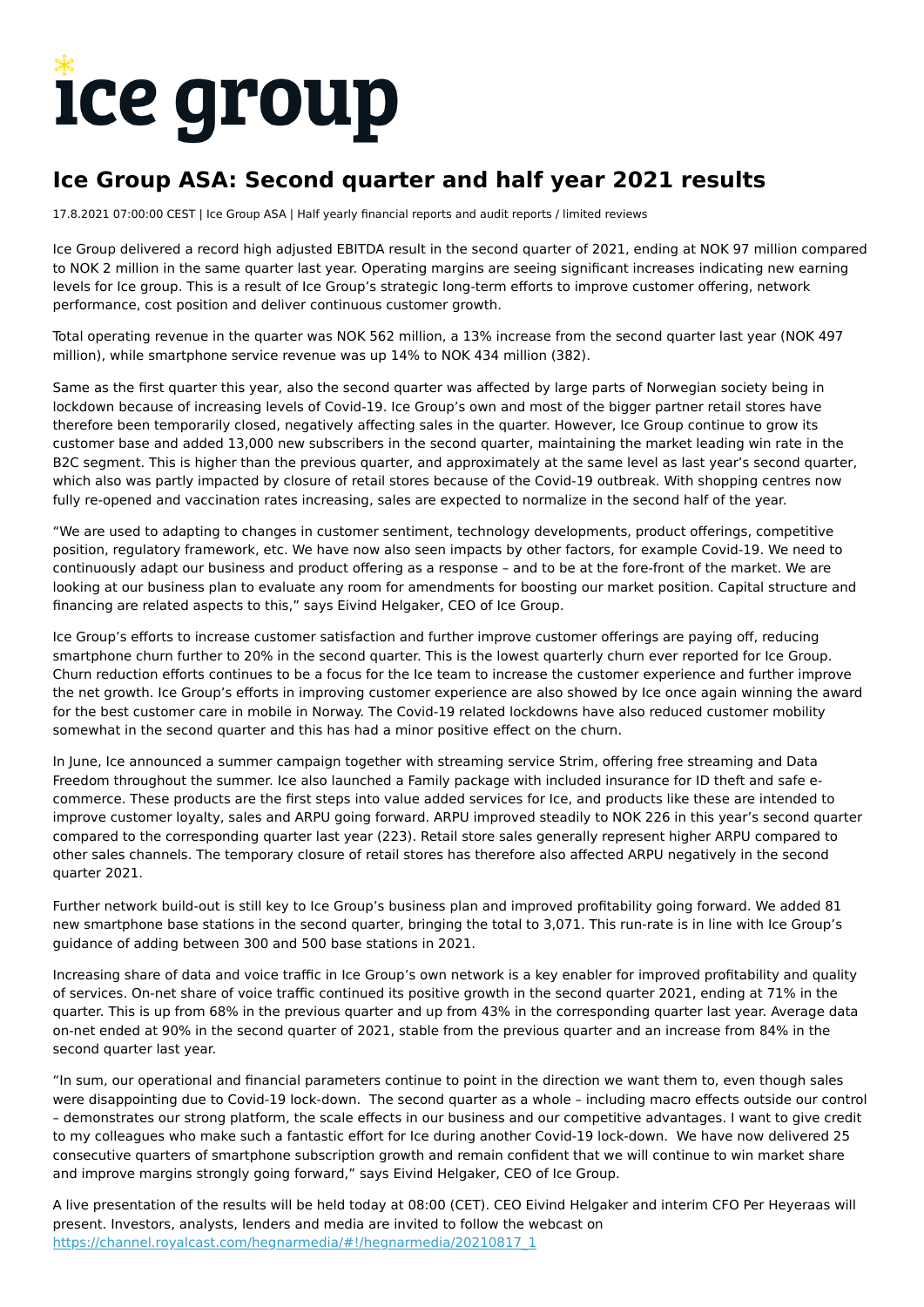# ice group

# **Ice Group ASA: Second quarter and half year 2021 results**

17.8.2021 07:00:00 CEST | Ice Group ASA | Half yearly financial reports and audit reports / limited reviews

Ice Group delivered a record high adjusted EBITDA result in the second quarter of 2021, ending at NOK 97 million compared to NOK 2 million in the same quarter last year. Operating margins are seeing significant increases indicating new earning levels for Ice group. This is a result of Ice Group's strategic long-term efforts to improve customer offering, network performance, cost position and deliver continuous customer growth.

Total operating revenue in the quarter was NOK 562 million, a 13% increase from the second quarter last year (NOK 497 million), while smartphone service revenue was up 14% to NOK 434 million (382).

Same as the first quarter this year, also the second quarter was affected by large parts of Norwegian society being in lockdown because of increasing levels of Covid-19. Ice Group's own and most of the bigger partner retail stores have therefore been temporarily closed, negatively affecting sales in the quarter. However, Ice Group continue to grow its customer base and added 13,000 new subscribers in the second quarter, maintaining the market leading win rate in the B2C segment. This is higher than the previous quarter, and approximately at the same level as last year's second quarter. which also was partly impacted by closure of retail stores because of the Covid-19 outbreak. With shopping centres now fully re-opened and vaccination rates increasing, sales are expected to normalize in the second half of the year.

"We are used to adapting to changes in customer sentiment, technology developments, product offerings, competitive position, regulatory framework, etc. We have now also seen impacts by other factors, for example Covid-19. We need to continuously adapt our business and product offering as a response – and to be at the fore-front of the market. We are looking at our business plan to evaluate any room for amendments for boosting our market position. Capital structure and financing are related aspects to this," says Eivind Helgaker, CEO of Ice Group.

Ice Group's efforts to increase customer satisfaction and further improve customer offerings are paying off, reducing smartphone churn further to 20% in the second quarter. This is the lowest quarterly churn ever reported for Ice Group. Churn reduction efforts continues to be a focus for the Ice team to increase the customer experience and further improve the net growth. Ice Group's efforts in improving customer experience are also showed by Ice once again winning the award for the best customer care in mobile in Norway. The Covid-19 related lockdowns have also reduced customer mobility somewhat in the second quarter and this has had a minor positive effect on the churn.

In June, Ice announced a summer campaign together with streaming service Strim, offering free streaming and Data Freedom throughout the summer. Ice also launched a Family package with included insurance for ID theft and safe ecommerce. These products are the first steps into value added services for Ice, and products like these are intended to improve customer loyalty, sales and ARPU going forward. ARPU improved steadily to NOK 226 in this year's second quarter compared to the corresponding quarter last year (223). Retail store sales generally represent higher ARPU compared to other sales channels. The temporary closure of retail stores has therefore also affected ARPU negatively in the second quarter 2021.

Further network build-out is still key to Ice Group's business plan and improved profitability going forward. We added 81 new smartphone base stations in the second quarter, bringing the total to 3,071. This run-rate is in line with Ice Group's guidance of adding between 300 and 500 base stations in 2021.

Increasing share of data and voice traffic in Ice Group's own network is a key enabler for improved profitability and quality of services. On-net share of voice traffic continued its positive growth in the second quarter 2021, ending at 71% in the quarter. This is up from 68% in the previous quarter and up from 43% in the corresponding quarter last year. Average data on-net ended at 90% in the second quarter of 2021, stable from the previous quarter and an increase from 84% in the second quarter last year.

"In sum, our operational and financial parameters continue to point in the direction we want them to, even though sales were disappointing due to Covid-19 lock-down. The second quarter as a whole – including macro effects outside our control – demonstrates our strong platform, the scale effects in our business and our competitive advantages. I want to give credit to my colleagues who make such a fantastic effort for Ice during another Covid-19 lock-down. We have now delivered 25 consecutive quarters of smartphone subscription growth and remain confident that we will continue to win market share and improve margins strongly going forward," says Eivind Helgaker, CEO of Ice Group.

A live presentation of the results will be held today at 08:00 (CET). CEO Eivind Helgaker and interim CFO Per Heyeraas will present. Investors, analysts, lenders and media are invited to follow the webcast on [https://channel.royalcast.com/hegnarmedia/#!/hegnarmedia/20210817\\_1](https://channel.royalcast.com/hegnarmedia/#!/hegnarmedia/20210817_1)